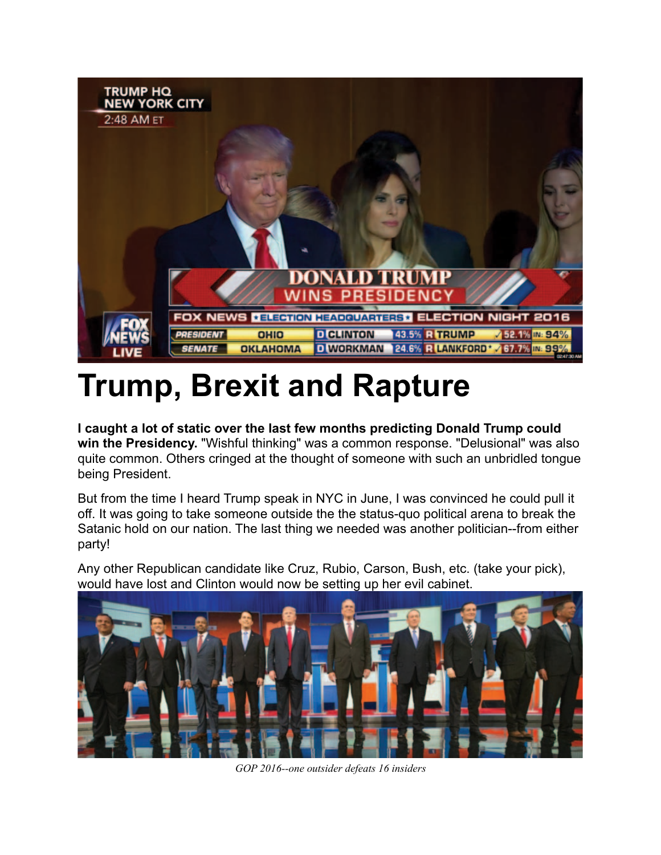

## **Trump, Brexit and Rapture**

**I caught a lot of static over the last few months predicting Donald Trump could win the Presidency.** "Wishful thinking" was a common response. "Delusional" was also quite common. Others cringed at the thought of someone with such an unbridled tongue being President.

But from the time I heard Trump speak in NYC in June, I was convinced he could pull it off. It was going to take someone outside the the status-quo political arena to break the Satanic hold on our nation. The last thing we needed was another politician--from either party!

Any other Republican candidate like Cruz, Rubio, Carson, Bush, etc. (take your pick), would have lost and Clinton would now be setting up her evil cabinet.



*GOP 2016--one outsider defeats 16 insiders*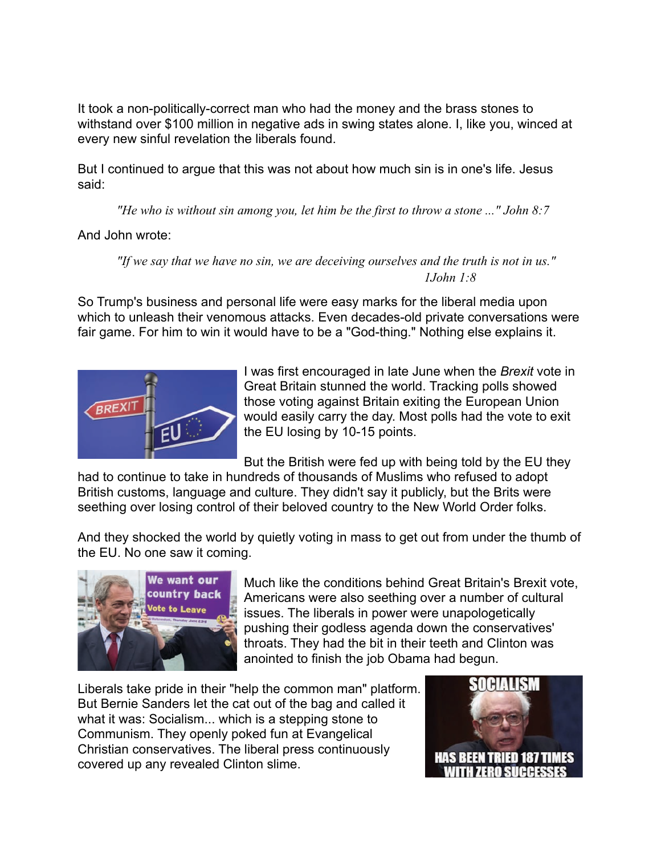It took a non-politically-correct man who had the money and the brass stones to withstand over \$100 million in negative ads in swing states alone. I, like you, winced at every new sinful revelation the liberals found.

But I continued to argue that this was not about how much sin is in one's life. Jesus said:

 *"He who is without sin among you, let him be the first to throw a stone ..." John 8:7*

And John wrote:

 *"If we say that we have no sin, we are deceiving ourselves and the truth is not in us." 1John 1:8*

So Trump's business and personal life were easy marks for the liberal media upon which to unleash their venomous attacks. Even decades-old private conversations were fair game. For him to win it would have to be a "God-thing." Nothing else explains it.



I was first encouraged in late June when the *Brexit* vote in Great Britain stunned the world. Tracking polls showed those voting against Britain exiting the European Union would easily carry the day. Most polls had the vote to exit the EU losing by 10-15 points.

But the British were fed up with being told by the EU they

had to continue to take in hundreds of thousands of Muslims who refused to adopt British customs, language and culture. They didn't say it publicly, but the Brits were seething over losing control of their beloved country to the New World Order folks.

And they shocked the world by quietly voting in mass to get out from under the thumb of the EU. No one saw it coming.



Much like the conditions behind Great Britain's Brexit vote, Americans were also seething over a number of cultural issues. The liberals in power were unapologetically pushing their godless agenda down the conservatives' throats. They had the bit in their teeth and Clinton was anointed to finish the job Obama had begun.

Liberals take pride in their "help the common man" platform. But Bernie Sanders let the cat out of the bag and called it what it was: Socialism... which is a stepping stone to Communism. They openly poked fun at Evangelical Christian conservatives. The liberal press continuously covered up any revealed Clinton slime.

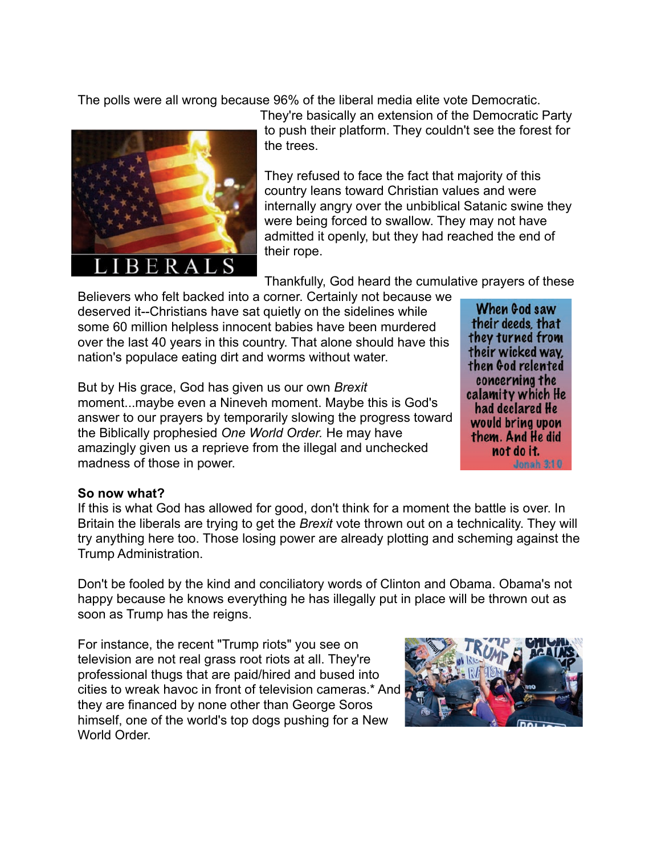The polls were all wrong because 96% of the liberal media elite vote Democratic.



They're basically an extension of the Democratic Party to push their platform. They couldn't see the forest for the trees.

They refused to face the fact that majority of this country leans toward Christian values and were internally angry over the unbiblical Satanic swine they were being forced to swallow. They may not have admitted it openly, but they had reached the end of their rope.

Thankfully, God heard the cumulative prayers of these

Believers who felt backed into a corner. Certainly not because we deserved it--Christians have sat quietly on the sidelines while some 60 million helpless innocent babies have been murdered over the last 40 years in this country. That alone should have this nation's populace eating dirt and worms without water.

But by His grace, God has given us our own *Brexit* moment...maybe even a Nineveh moment. Maybe this is God's answer to our prayers by temporarily slowing the progress toward the Biblically prophesied *One World Order.* He may have amazingly given us a reprieve from the illegal and unchecked madness of those in power.

When God saw their deeds, that they turned from their wicked way. then God relented concerning the calamity which He had declared He would bring upon them. And He did not do it. **Jonah 3:10** 

## **So now what?**

If this is what God has allowed for good, don't think for a moment the battle is over. In Britain the liberals are trying to get the *Brexit* vote thrown out on a technicality. They will try anything here too. Those losing power are already plotting and scheming against the Trump Administration.

Don't be fooled by the kind and conciliatory words of Clinton and Obama. Obama's not happy because he knows everything he has illegally put in place will be thrown out as soon as Trump has the reigns.

For instance, the recent "Trump riots" you see on television are not real grass root riots at all. They're professional thugs that are paid/hired and bused into cities to wreak havoc in front of television cameras.\* And they are financed by none other than George Soros himself, one of the world's top dogs pushing for a New World Order

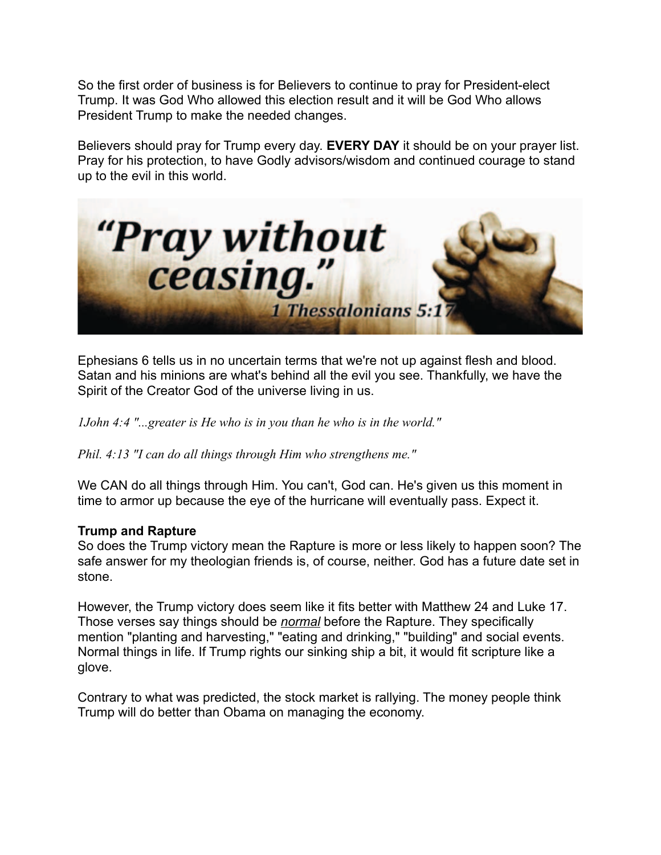So the first order of business is for Believers to continue to pray for President-elect Trump. It was God Who allowed this election result and it will be God Who allows President Trump to make the needed changes.

Believers should pray for Trump every day. **EVERY DAY** it should be on your prayer list. Pray for his protection, to have Godly advisors/wisdom and continued courage to stand up to the evil in this world.



Ephesians 6 tells us in no uncertain terms that we're not up against flesh and blood. Satan and his minions are what's behind all the evil you see. Thankfully, we have the Spirit of the Creator God of the universe living in us.

*1John 4:4 "...greater is He who is in you than he who is in the world."* 

*Phil. 4:13 "I can do all things through Him who strengthens me."* 

We CAN do all things through Him. You can't, God can. He's given us this moment in time to armor up because the eye of the hurricane will eventually pass. Expect it.

## **Trump and Rapture**

So does the Trump victory mean the Rapture is more or less likely to happen soon? The safe answer for my theologian friends is, of course, neither. God has a future date set in stone.

However, the Trump victory does seem like it fits better with Matthew 24 and Luke 17. Those verses say things should be *normal* before the Rapture. They specifically mention "planting and harvesting," "eating and drinking," "building" and social events. Normal things in life. If Trump rights our sinking ship a bit, it would fit scripture like a glove.

Contrary to what was predicted, the stock market is rallying. The money people think Trump will do better than Obama on managing the economy.